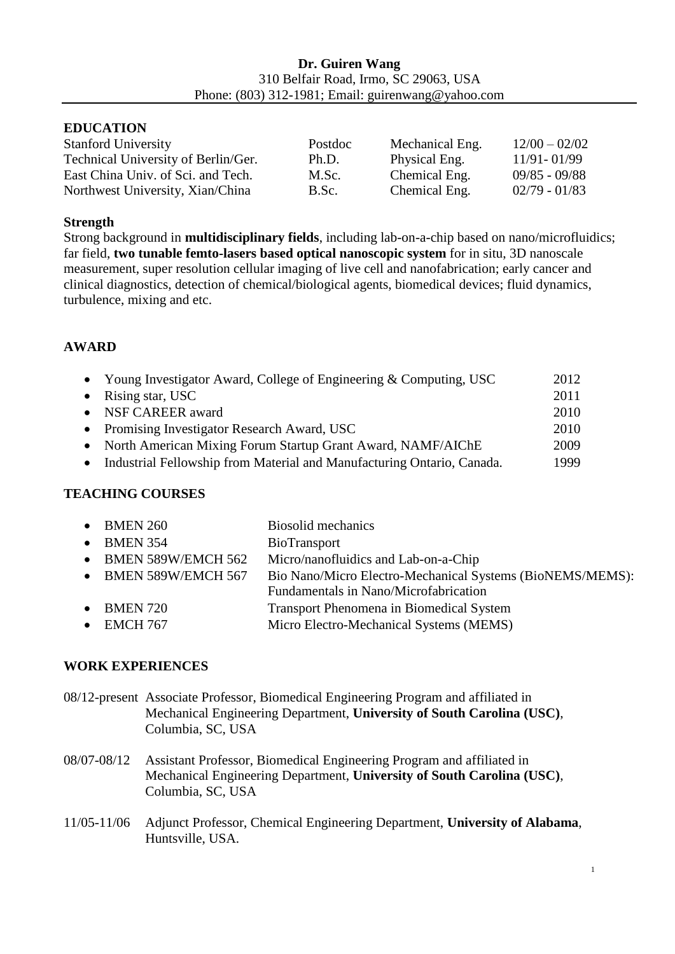#### **EDUCATION**

| <b>Stanford University</b>          | Postdoc | Mechanical Eng. | $12/00 - 02/02$ |
|-------------------------------------|---------|-----------------|-----------------|
| Technical University of Berlin/Ger. | Ph.D.   | Physical Eng.   | $11/91 - 01/99$ |
| East China Univ. of Sci. and Tech.  | M.Sc.   | Chemical Eng.   | $09/85 - 09/88$ |
| Northwest University, Xian/China    | B.Sc.   | Chemical Eng.   | $02/79 - 01/83$ |

#### **Strength**

Strong background in **multidisciplinary fields**, including lab-on-a-chip based on nano/microfluidics; far field, **two tunable femto-lasers based optical nanoscopic system** for in situ, 3D nanoscale measurement, super resolution cellular imaging of live cell and nanofabrication; early cancer and clinical diagnostics, detection of chemical/biological agents, biomedical devices; fluid dynamics, turbulence, mixing and etc.

#### **AWARD**

| • Young Investigator Award, College of Engineering & Computing, USC    | 2012 |
|------------------------------------------------------------------------|------|
| • Rising star, USC                                                     | 2011 |
| • NSF CAREER award                                                     | 2010 |
| • Promising Investigator Research Award, USC                           | 2010 |
| • North American Mixing Forum Startup Grant Award, NAMF/AIChE          | 2009 |
| Industrial Fellowship from Material and Manufacturing Ontario, Canada. | 1999 |

## **TEACHING COURSES**

| $\bullet$ BMEN 260           | Biosolid mechanics                                        |
|------------------------------|-----------------------------------------------------------|
| $\bullet$ BMEN 354           | BioTransport                                              |
| $\bullet$ BMEN 589W/EMCH 562 | Micro/nanofluidics and Lab-on-a-Chip                      |
| • BMEN 589W/EMCH 567         | Bio Nano/Micro Electro-Mechanical Systems (BioNEMS/MEMS): |
|                              | Fundamentals in Nano/Microfabrication                     |
| $\bullet$ BMEN 720           | Transport Phenomena in Biomedical System                  |
| $\bullet$ EMCH 767           | Micro Electro-Mechanical Systems (MEMS)                   |
|                              |                                                           |

#### **WORK EXPERIENCES**

| 08/12-present Associate Professor, Biomedical Engineering Program and affiliated in |
|-------------------------------------------------------------------------------------|
| Mechanical Engineering Department, University of South Carolina (USC),              |
| Columbia, SC, USA                                                                   |

- 08/07-08/12 Assistant Professor, Biomedical Engineering Program and affiliated in Mechanical Engineering Department, **University of South Carolina (USC)**, Columbia, SC, USA
- 11/05-11/06 Adjunct Professor, Chemical Engineering Department, **University of Alabama**, Huntsville, USA.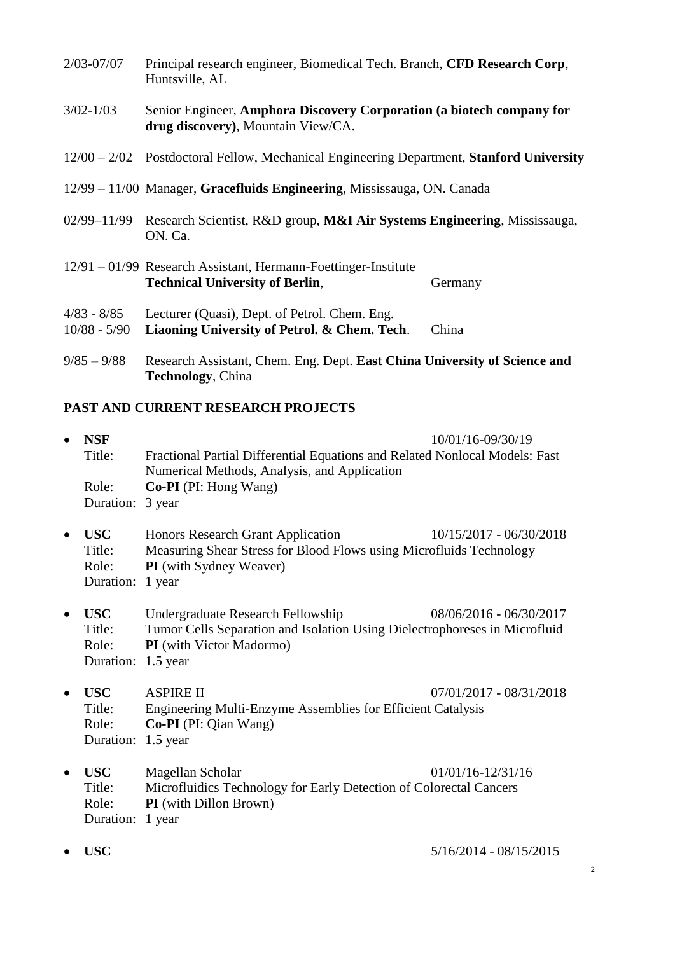- 2/03-07/07 Principal research engineer, Biomedical Tech. Branch, **CFD Research Corp**, Huntsville, AL
- 3/02-1/03 Senior Engineer, **Amphora Discovery Corporation (a biotech company for drug discovery)**, Mountain View/CA.
- 12/00 2/02 Postdoctoral Fellow, Mechanical Engineering Department, **Stanford University**
- 12/99 11/00 Manager, **Gracefluids Engineering**, Mississauga, ON. Canada
- 02/99–11/99 Research Scientist, R&D group, **M&I Air Systems Engineering**, Mississauga, ON. Ca.
- 12/91 01/99 Research Assistant, Hermann-Foettinger-Institute **Technical University of Berlin, State Community Community Germany**
- 4/83 8/85 Lecturer (Quasi), Dept. of Petrol. Chem. Eng.
- 10/88 5/90 **Liaoning University of Petrol. & Chem. Tech**. China
- 9/85 9/88 Research Assistant, Chem. Eng. Dept. **East China University of Science and Technology**, China

#### **PAST AND CURRENT RESEARCH PROJECTS**

| $\bullet$ | <b>NSF</b>       | 10/01/16-09/30/19                                                           |
|-----------|------------------|-----------------------------------------------------------------------------|
|           | Title:           | Fractional Partial Differential Equations and Related Nonlocal Models: Fast |
|           |                  | Numerical Methods, Analysis, and Application                                |
|           | Role:            | <b>Co-PI</b> (PI: Hong Wang)                                                |
|           | Duration: 3 year |                                                                             |
|           |                  |                                                                             |
|           |                  |                                                                             |

- **USC** Honors Research Grant Application 10/15/2017 06/30/2018 Title: Measuring Shear Stress for Blood Flows using Microfluids Technology Role: **PI** (with Sydney Weaver) Duration: 1 year
- **USC** Undergraduate Research Fellowship 08/06/2016 06/30/2017 Title: Tumor Cells Separation and Isolation Using Dielectrophoreses in Microfluid Role: **PI** (with Victor Madormo) Duration: 1.5 year
- **USC** ASPIRE II 07/01/2017 08/31/2018 Title: Engineering Multi-Enzyme Assemblies for Efficient Catalysis Role: **Co-PI** (PI: Qian Wang) Duration: 1.5 year
- **USC** Magellan Scholar 01/01/16-12/31/16 Title: Microfluidics Technology for Early Detection of Colorectal Cancers Role: **PI** (with Dillon Brown) Duration: 1 year
- **USC** 5/16/2014 08/15/2015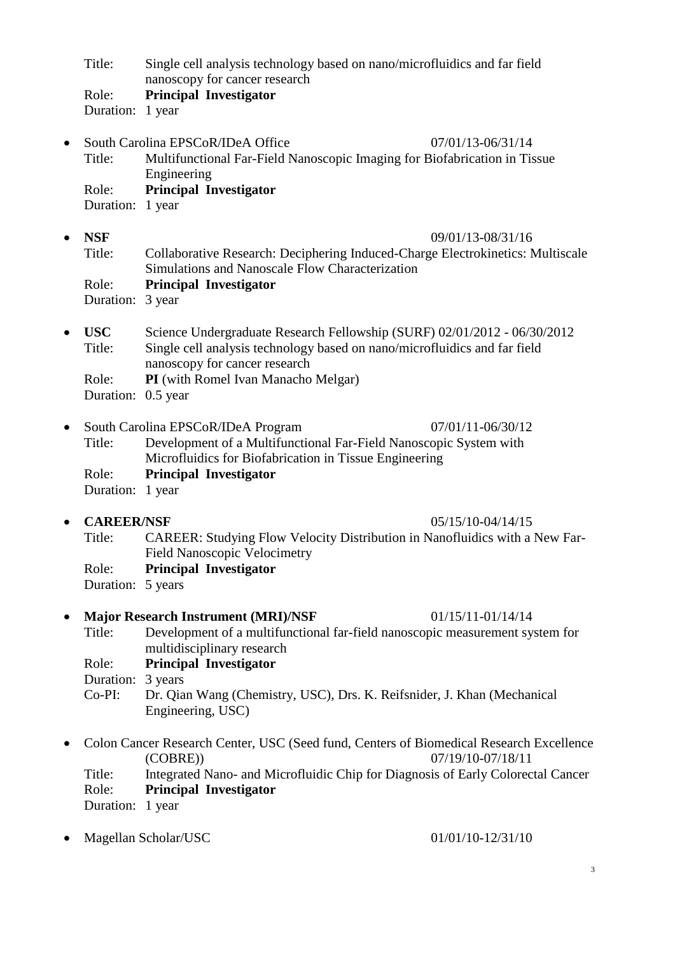Title: Single cell analysis technology based on nano/microfluidics and far field nanoscopy for cancer research

Role: **Principal Investigator** Duration: 1 year

South Carolina EPSCoR/IDeA Office 07/01/13-06/31/14

Title: Multifunctional Far-Field Nanoscopic Imaging for Biofabrication in Tissue Engineering Role: **Principal Investigator**

Duration: 1 year

- **NSF** 09/01/13-08/31/16 Title: Collaborative Research: Deciphering Induced-Charge Electrokinetics: Multiscale Simulations and Nanoscale Flow Characterization Role: **Principal Investigator** Duration: 3 year
- **USC** Science Undergraduate Research Fellowship (SURF) 02/01/2012 06/30/2012 Title: Single cell analysis technology based on nano/microfluidics and far field nanoscopy for cancer research Role: **PI** (with Romel Ivan Manacho Melgar)
	- Duration: 0.5 year

|                  | • South Carolina EPSCoR/IDeA Program                              | 07/01/11-06/30/12 |
|------------------|-------------------------------------------------------------------|-------------------|
| Title:           | Development of a Multifunctional Far-Field Nanoscopic System with |                   |
|                  | Microfluidics for Biofabrication in Tissue Engineering            |                   |
| Role:            | <b>Principal Investigator</b>                                     |                   |
| Duration: 1 year |                                                                   |                   |

**CAREER/NSF** 05/15/10-04/14/15

Title: CAREER: Studying Flow Velocity Distribution in Nanofluidics with a New Far-Field Nanoscopic Velocimetry Role: **Principal Investigator**

Duration: 5 years

- Major Research Instrument (MRI)/NSF 01/15/11-01/14/14 Title: Development of a multifunctional far-field nanoscopic measurement system for multidisciplinary research
	- Role: **Principal Investigator**

Duration: 3 years

Co-PI: Dr. Qian Wang (Chemistry, USC), Drs. K. Reifsnider, J. Khan (Mechanical Engineering, USC)

• Colon Cancer Research Center, USC (Seed fund, Centers of Biomedical Research Excellence (COBRE)) 07/19/10-07/18/11 Title: Integrated Nano- and Microfluidic Chip for Diagnosis of Early Colorectal Cancer Role: **Principal Investigator**

Duration: 1 year

• Magellan Scholar/USC 01/01/10-12/31/10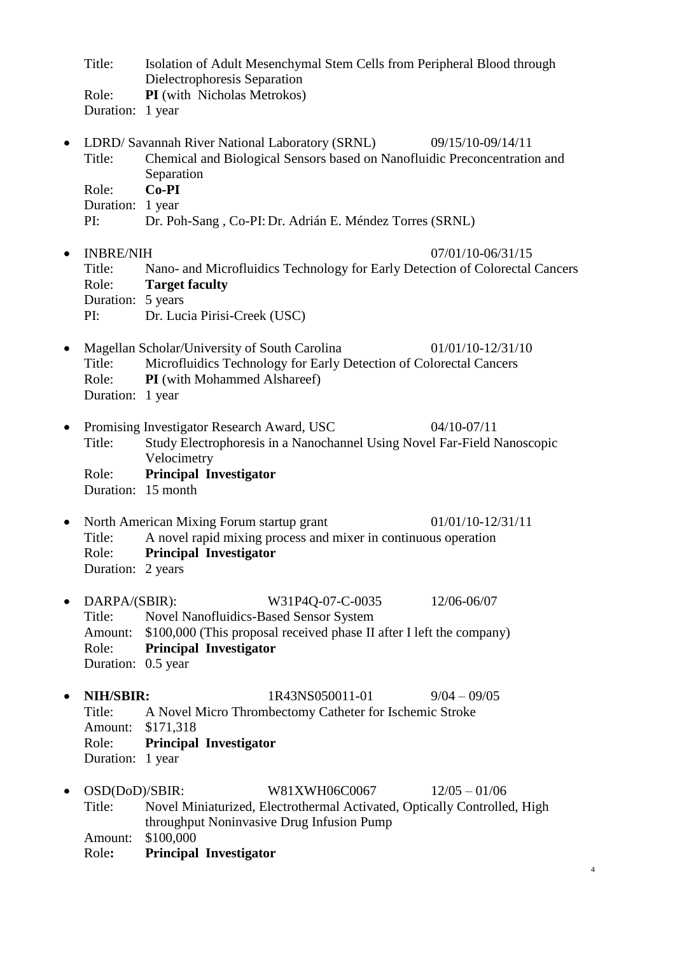|           | Title:<br>Role:<br>Duration: 1 year                               | Isolation of Adult Mesenchymal Stem Cells from Peripheral Blood through<br>Dielectrophoresis Separation<br>PI (with Nicholas Metrokos)                                                      |                     |
|-----------|-------------------------------------------------------------------|---------------------------------------------------------------------------------------------------------------------------------------------------------------------------------------------|---------------------|
| $\bullet$ | Title:<br>Role:<br>Duration: 1 year                               | LDRD/ Savannah River National Laboratory (SRNL)<br>Chemical and Biological Sensors based on Nanofluidic Preconcentration and<br>Separation<br>$Co-PI$                                       | 09/15/10-09/14/11   |
|           | PI:                                                               | Dr. Poh-Sang, Co-PI: Dr. Adrián E. Méndez Torres (SRNL)                                                                                                                                     |                     |
| $\bullet$ | <b>INBRE/NIH</b><br>Title:<br>Role:<br>Duration: 5 years          | Nano- and Microfluidics Technology for Early Detection of Colorectal Cancers<br><b>Target faculty</b>                                                                                       | 07/01/10-06/31/15   |
| $\bullet$ | PI:<br>Title:<br>Role:<br>Duration: 1 year                        | Dr. Lucia Pirisi-Creek (USC)<br>Magellan Scholar/University of South Carolina<br>Microfluidics Technology for Early Detection of Colorectal Cancers<br>PI (with Mohammed Alshareef)         | $01/01/10-12/31/10$ |
| $\bullet$ | Title:<br>Role:                                                   | Promising Investigator Research Award, USC<br>Study Electrophoresis in a Nanochannel Using Novel Far-Field Nanoscopic<br>Velocimetry<br><b>Principal Investigator</b><br>Duration: 15 month | $04/10-07/11$       |
| $\bullet$ | Title:<br>Role:<br>Duration: 2 years                              | North American Mixing Forum startup grant<br>A novel rapid mixing process and mixer in continuous operation<br><b>Principal Investigator</b>                                                | $01/01/10-12/31/11$ |
| $\bullet$ | DARPA/(SBIR):<br>Title:<br>Amount:<br>Role:<br>Duration: 0.5 year | W31P4Q-07-C-0035<br><b>Novel Nanofluidics-Based Sensor System</b><br>\$100,000 (This proposal received phase II after I left the company)<br><b>Principal Investigator</b>                  | 12/06-06/07         |
| $\bullet$ | NIH/SBIR:<br>Title:<br>Amount:<br>Role:<br>Duration: 1 year       | 1R43NS050011-01<br>A Novel Micro Thrombectomy Catheter for Ischemic Stroke<br>\$171,318<br><b>Principal Investigator</b>                                                                    | $9/04 - 09/05$      |
| ٠         | OSD(DoD)/SBIR:<br>Title:<br>Amount:<br>Role:                      | W81XWH06C0067<br>Novel Miniaturized, Electrothermal Activated, Optically Controlled, High<br>throughput Noninvasive Drug Infusion Pump<br>\$100,000<br><b>Principal Investigator</b>        | $12/05 - 01/06$     |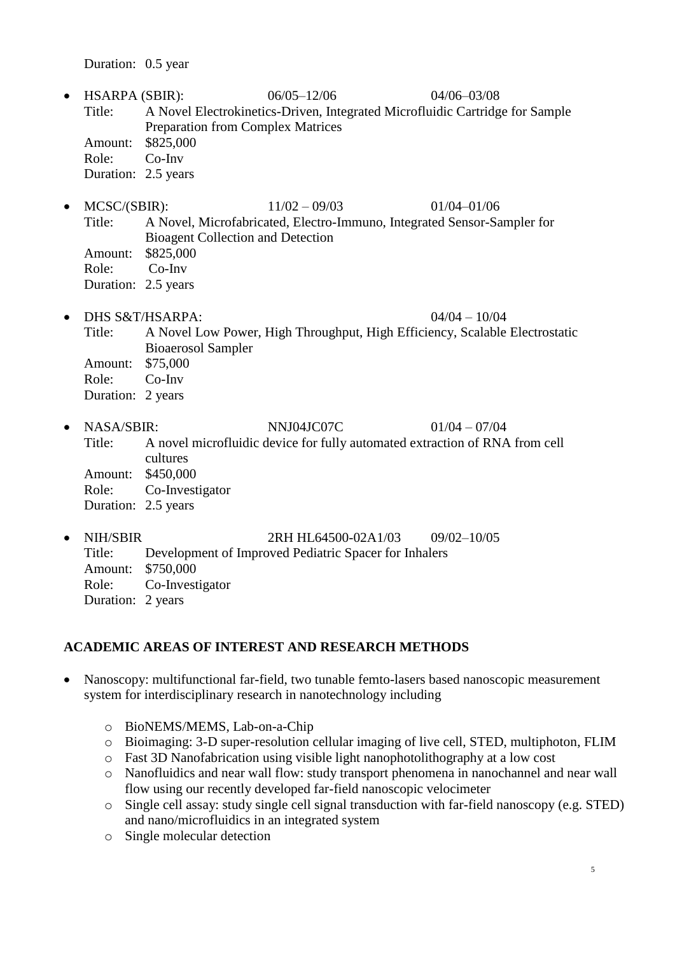Duration: 0.5 year

- HSARPA (SBIR): 06/05–12/06 04/06–03/08 Title: A Novel Electrokinetics-Driven, Integrated Microfluidic Cartridge for Sample Preparation from Complex Matrices Amount: \$825,000 Role: Co-Inv Duration: 2.5 years
- MCSC/(SBIR): 11/02 09/03 01/04–01/06 Title: A Novel, Microfabricated, Electro-Immuno, Integrated Sensor-Sampler for Bioagent Collection and Detection Amount: \$825,000

Role: Co-Inv

Duration: 2.5 years

• DHS S&T/HSARPA:  $04/04 - 10/04$ 

- Title: A Novel Low Power, High Throughput, High Efficiency, Scalable Electrostatic Bioaerosol Sampler Amount: \$75,000 Role: Co-Inv Duration: 2 years
- NASA/SBIR: NNJ04JC07C 01/04 07/04 Title: A novel microfluidic device for fully automated extraction of RNA from cell cultures Amount: \$450,000 Role: Co-Investigator Duration: 2.5 years
- NIH/SBIR 2RH HL64500-02A1/03 09/02-10/05 Title: Development of Improved Pediatric Spacer for Inhalers Amount: \$750,000 Role: Co-Investigator Duration: 2 years

## **ACADEMIC AREAS OF INTEREST AND RESEARCH METHODS**

- Nanoscopy: multifunctional far-field, two tunable femto-lasers based nanoscopic measurement system for interdisciplinary research in nanotechnology including
	- o BioNEMS/MEMS, Lab-on-a-Chip
	- o Bioimaging: 3-D super-resolution cellular imaging of live cell, STED, multiphoton, FLIM
	- o Fast 3D Nanofabrication using visible light nanophotolithography at a low cost
	- o Nanofluidics and near wall flow: study transport phenomena in nanochannel and near wall flow using our recently developed far-field nanoscopic velocimeter
	- o Single cell assay: study single cell signal transduction with far-field nanoscopy (e.g. STED) and nano/microfluidics in an integrated system
	- o Single molecular detection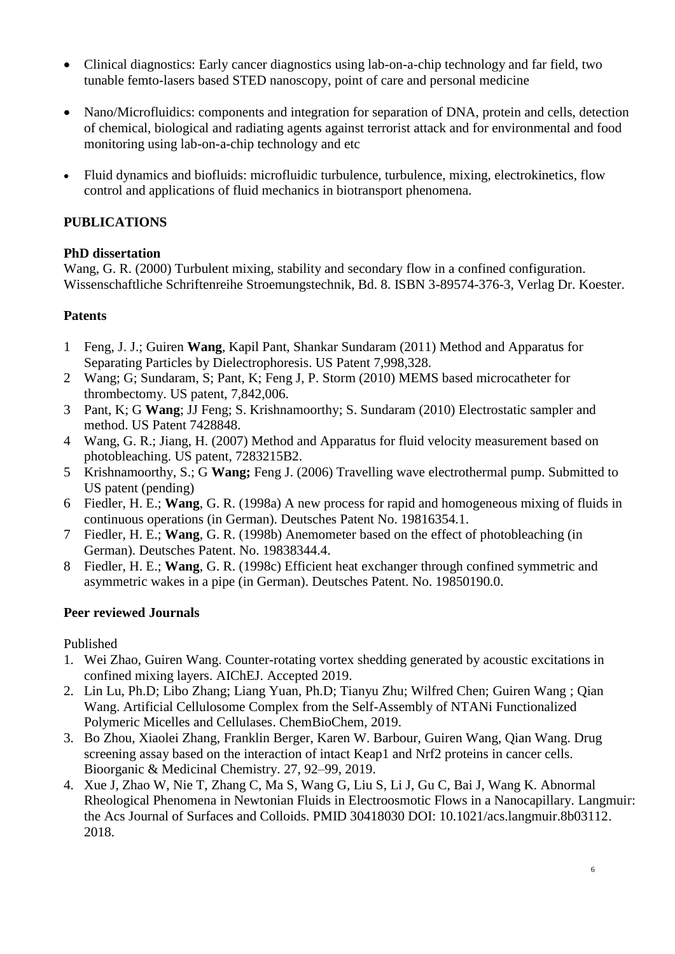- Clinical diagnostics: Early cancer diagnostics using lab-on-a-chip technology and far field, two tunable femto-lasers based STED nanoscopy, point of care and personal medicine
- Nano/Microfluidics: components and integration for separation of DNA, protein and cells, detection of chemical, biological and radiating agents against terrorist attack and for environmental and food monitoring using lab-on-a-chip technology and etc
- Fluid dynamics and biofluids: microfluidic turbulence, turbulence, mixing, electrokinetics, flow control and applications of fluid mechanics in biotransport phenomena.

## **PUBLICATIONS**

## **PhD dissertation**

Wang, G. R. (2000) Turbulent mixing, stability and secondary flow in a confined configuration. Wissenschaftliche Schriftenreihe Stroemungstechnik, Bd. 8. ISBN 3-89574-376-3, Verlag Dr. Koester.

## **Patents**

- 1 Feng, J. J.; Guiren **Wang**, Kapil Pant, Shankar Sundaram (2011) Method and Apparatus for Separating Particles by Dielectrophoresis. US Patent 7,998,328.
- 2 Wang; G; Sundaram, S; Pant, K; Feng J, P. Storm (2010) MEMS based microcatheter for thrombectomy. US patent, 7,842,006.
- 3 Pant, K; G **Wang**; JJ Feng; S. Krishnamoorthy; S. Sundaram (2010) Electrostatic sampler and method. US Patent 7428848.
- 4 Wang, G. R.; Jiang, H. (2007) Method and Apparatus for fluid velocity measurement based on photobleaching. US patent, 7283215B2.
- 5 Krishnamoorthy, S.; G **Wang;** Feng J. (2006) Travelling wave electrothermal pump. Submitted to US patent (pending)
- 6 Fiedler, H. E.; **Wang**, G. R. (1998a) A new process for rapid and homogeneous mixing of fluids in continuous operations (in German). Deutsches Patent No. 19816354.1.
- 7 Fiedler, H. E.; **Wang**, G. R. (1998b) Anemometer based on the effect of photobleaching (in German). Deutsches Patent. No. 19838344.4.
- 8 Fiedler, H. E.; **Wang**, G. R. (1998c) Efficient heat exchanger through confined symmetric and asymmetric wakes in a pipe (in German). Deutsches Patent. No. 19850190.0.

## **Peer reviewed Journals**

## Published

- 1. Wei Zhao, Guiren Wang. Counter-rotating vortex shedding generated by acoustic excitations in confined mixing layers. AIChEJ. Accepted 2019.
- 2. Lin Lu, Ph.D; Libo Zhang; Liang Yuan, Ph.D; Tianyu Zhu; Wilfred Chen; Guiren Wang ; Qian Wang. Artificial Cellulosome Complex from the Self-Assembly of NTANi Functionalized Polymeric Micelles and Cellulases. ChemBioChem, 2019.
- 3. Bo Zhou, Xiaolei Zhang, Franklin Berger, Karen W. Barbour, Guiren Wang, Qian Wang. Drug screening assay based on the interaction of intact Keap1 and Nrf2 proteins in cancer cells. Bioorganic & Medicinal Chemistry. 27, 92–99, 2019.
- 4. Xue J, Zhao W, Nie T, Zhang C, Ma S, Wang G, Liu S, Li J, Gu C, Bai J, Wang K. Abnormal Rheological Phenomena in Newtonian Fluids in Electroosmotic Flows in a Nanocapillary. Langmuir: the Acs Journal of Surfaces and Colloids. PMID 30418030 DOI: 10.1021/acs.langmuir.8b03112. 2018.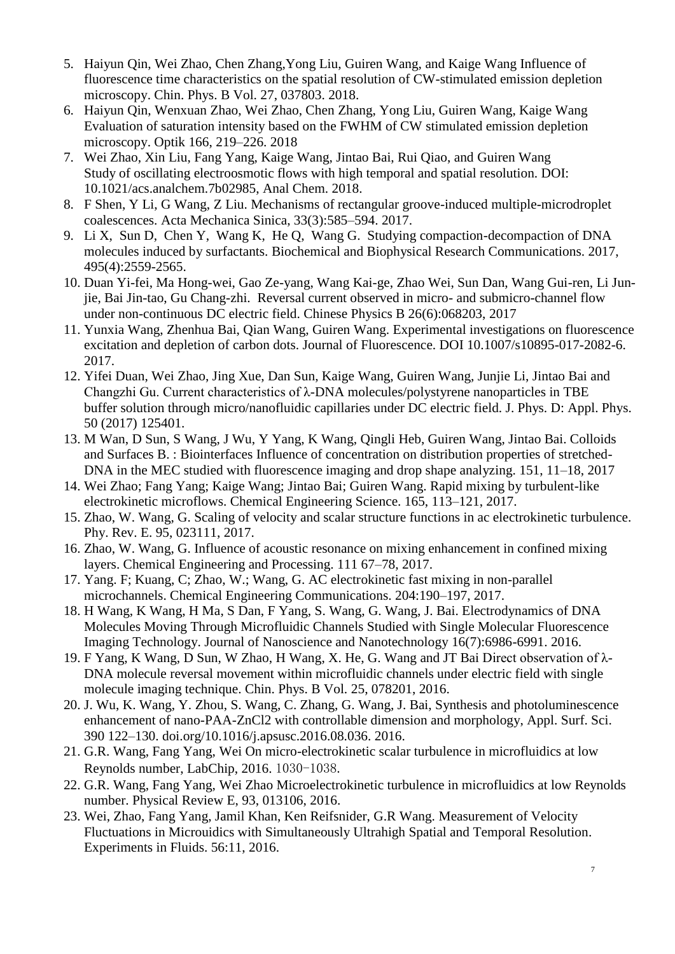- 5. Haiyun Qin, Wei Zhao, Chen Zhang,Yong Liu, Guiren Wang, and Kaige Wang Influence of fluorescence time characteristics on the spatial resolution of CW-stimulated emission depletion microscopy. Chin. Phys. B Vol. 27, 037803. 2018.
- 6. Haiyun Qin, Wenxuan Zhao, Wei Zhao, Chen Zhang, Yong Liu, Guiren Wang, Kaige Wang Evaluation of saturation intensity based on the FWHM of CW stimulated emission depletion microscopy. Optik 166, 219–226. 2018
- 7. Wei Zhao, Xin Liu, Fang Yang, Kaige Wang, Jintao Bai, Rui Qiao, and Guiren Wang Study of oscillating electroosmotic flows with high temporal and spatial resolution. DOI: 10.1021/acs.analchem.7b02985, Anal Chem. 2018.
- 8. F Shen, Y Li, G Wang, Z Liu. Mechanisms of rectangular groove-induced multiple-microdroplet coalescences. Acta Mechanica Sinica, 33(3):585–594. 2017.
- 9. Li X, Sun D, Chen Y, Wang K, He Q, Wang G. Studying compaction-decompaction of DNA molecules induced by surfactants. Biochemical and Biophysical Research Communications. 2017, 495(4):2559-2565.
- 10. Duan Yi-fei, Ma Hong-wei, Gao Ze-yang, Wang Kai-ge, Zhao Wei, Sun Dan, Wang Gui-ren, Li Junjie, Bai Jin-tao, Gu Chang-zhi. Reversal current observed in micro- and submicro-channel flow under non-continuous DC electric field. Chinese Physics B 26(6):068203, 2017
- 11. Yunxia Wang, Zhenhua Bai, Qian Wang, Guiren Wang. Experimental investigations on fluorescence excitation and depletion of carbon dots. Journal of Fluorescence. DOI 10.1007/s10895-017-2082-6. 2017.
- 12. Yifei Duan, Wei Zhao, Jing Xue, Dan Sun, Kaige Wang, Guiren Wang, Junjie Li, Jintao Bai and Changzhi Gu. Current characteristics of λ-DNA molecules/polystyrene nanoparticles in TBE buffer solution through micro/nanofluidic capillaries under DC electric field. J. Phys. D: Appl. Phys. 50 (2017) 125401.
- 13. M Wan, D Sun, S Wang, J Wu, Y Yang, K Wang, Qingli Heb, Guiren Wang, Jintao Bai. Colloids and Surfaces B. : Biointerfaces Influence of concentration on distribution properties of stretched-DNA in the MEC studied with fluorescence imaging and drop shape analyzing. 151, 11–18, 2017
- 14. Wei Zhao; Fang Yang; Kaige Wang; Jintao Bai; Guiren Wang. Rapid mixing by turbulent-like electrokinetic microflows. Chemical Engineering Science. 165, 113–121, 2017.
- 15. Zhao, W. Wang, G. Scaling of velocity and scalar structure functions in ac electrokinetic turbulence. Phy. Rev. E. 95, 023111, 2017.
- 16. Zhao, W. Wang, G. Influence of acoustic resonance on mixing enhancement in confined mixing layers. Chemical Engineering and Processing. 111 67–78, 2017.
- 17. Yang. F; Kuang, C; Zhao, W.; Wang, G. AC electrokinetic fast mixing in non-parallel microchannels. Chemical Engineering Communications. 204:190–197, 2017.
- 18. H Wang, K Wang, H Ma, S Dan, F Yang, S. Wang, G. Wang, J. Bai. Electrodynamics of DNA Molecules Moving Through Microfluidic Channels Studied with Single Molecular Fluorescence Imaging Technology. Journal of Nanoscience and Nanotechnology 16(7):6986-6991. 2016.
- 19. F Yang, K Wang, D Sun, W Zhao, H Wang, X. He, G. Wang and JT Bai Direct observation of λ-DNA molecule reversal movement within microfluidic channels under electric field with single molecule imaging technique. Chin. Phys. B Vol. 25, 078201, 2016.
- 20. J. Wu, K. Wang, Y. Zhou, S. Wang, C. Zhang, G. Wang, J. Bai, Synthesis and photoluminescence enhancement of nano-PAA-ZnCl2 with controllable dimension and morphology, Appl. Surf. Sci. 390 122–130. doi.org/10.1016/j.apsusc.2016.08.036. 2016.
- 21. G.R. Wang, Fang Yang, Wei On micro-electrokinetic scalar turbulence in microfluidics at low Reynolds number, LabChip, 2016. 1030-1038.
- 22. G.R. Wang, Fang Yang, Wei Zhao Microelectrokinetic turbulence in microfluidics at low Reynolds number. Physical Review E, 93, 013106, 2016.
- 23. Wei, Zhao, Fang Yang, Jamil Khan, Ken Reifsnider, G.R Wang. Measurement of Velocity Fluctuations in Microuidics with Simultaneously Ultrahigh Spatial and Temporal Resolution. Experiments in Fluids. 56:11, 2016.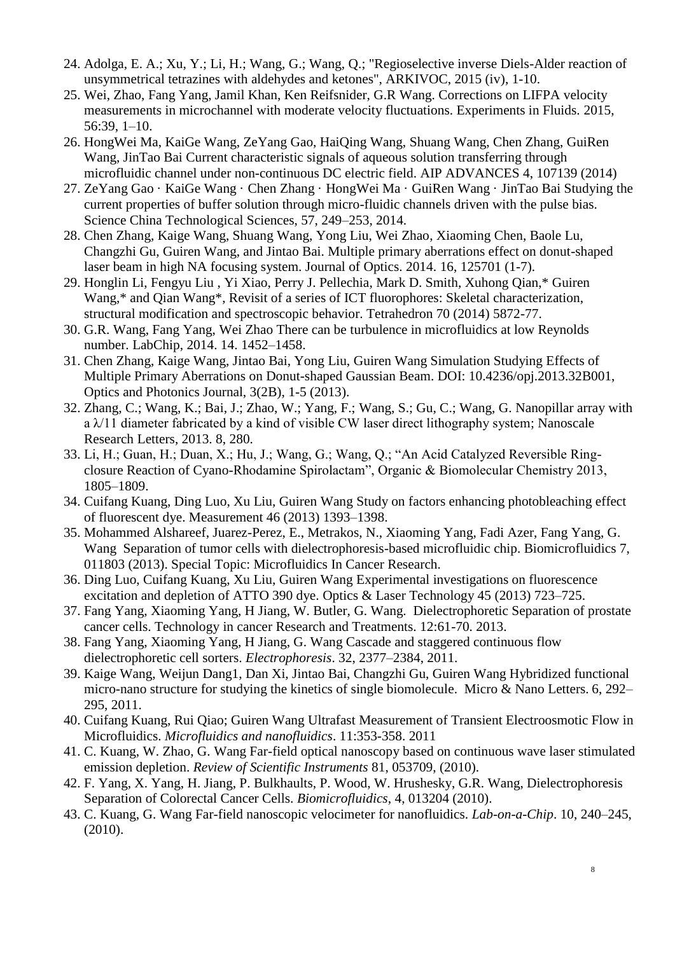- 24. Adolga, E. A.; Xu, Y.; Li, H.; Wang, G.; Wang, Q.; "Regioselective inverse Diels-Alder reaction of unsymmetrical tetrazines with aldehydes and ketones", ARKIVOC, 2015 (iv), 1-10.
- 25. Wei, Zhao, Fang Yang, Jamil Khan, Ken Reifsnider, G.R Wang. Corrections on LIFPA velocity measurements in microchannel with moderate velocity fluctuations. Experiments in Fluids. 2015, 56:39, 1–10.
- 26. HongWei Ma, KaiGe Wang, ZeYang Gao, HaiQing Wang, Shuang Wang, Chen Zhang, GuiRen Wang, JinTao Bai Current characteristic signals of aqueous solution transferring through microfluidic channel under non-continuous DC electric field. AIP ADVANCES 4, 107139 (2014)
- 27. ZeYang Gao · KaiGe Wang · Chen Zhang · HongWei Ma · GuiRen Wang · JinTao Bai Studying the current properties of buffer solution through micro-fluidic channels driven with the pulse bias. Science China Technological Sciences, 57, 249–253, 2014.
- 28. Chen Zhang, Kaige Wang, Shuang Wang, Yong Liu, Wei Zhao, Xiaoming Chen, Baole Lu, Changzhi Gu, Guiren Wang, and Jintao Bai. Multiple primary aberrations effect on donut-shaped laser beam in high NA focusing system. Journal of Optics. 2014. 16, 125701 (1-7).
- 29. Honglin Li, Fengyu Liu , Yi Xiao, Perry J. Pellechia, Mark D. Smith, Xuhong Qian,\* Guiren Wang,\* and Qian Wang\*, Revisit of a series of ICT fluorophores: Skeletal characterization, structural modification and spectroscopic behavior. Tetrahedron 70 (2014) 5872-77.
- 30. G.R. Wang, Fang Yang, Wei Zhao There can be turbulence in microfluidics at low Reynolds number. LabChip, 2014. 14. 1452–1458.
- 31. Chen Zhang, Kaige Wang, Jintao Bai, Yong Liu, Guiren Wang Simulation Studying Effects of Multiple Primary Aberrations on Donut-shaped Gaussian Beam. DOI: 10.4236/opj.2013.32B001, Optics and Photonics Journal, 3(2B), 1-5 (2013).
- 32. Zhang, C.; Wang, K.; Bai, J.; Zhao, W.; Yang, F.; Wang, S.; Gu, C.; Wang, G. Nanopillar array with a  $\lambda$ /11 diameter fabricated by a kind of visible CW laser direct lithography system; Nanoscale Research Letters, 2013. 8, 280.
- 33. Li, H.; Guan, H.; Duan, X.; Hu, J.; Wang, G.; Wang, Q.; "An Acid Catalyzed Reversible Ringclosure Reaction of Cyano-Rhodamine Spirolactam", Organic & Biomolecular Chemistry 2013, 1805–1809.
- 34. Cuifang Kuang, Ding Luo, Xu Liu, Guiren Wang Study on factors enhancing photobleaching effect of fluorescent dye. Measurement 46 (2013) 1393–1398.
- 35. Mohammed Alshareef, Juarez-Perez, E., Metrakos, N., Xiaoming Yang, Fadi Azer, Fang Yang, G. Wang Separation of tumor cells with dielectrophoresis-based microfluidic chip. Biomicrofluidics 7, 011803 (2013). Special Topic: Microfluidics In Cancer Research.
- 36. Ding Luo, Cuifang Kuang, Xu Liu, Guiren Wang Experimental investigations on fluorescence excitation and depletion of ATTO 390 dye. Optics & Laser Technology 45 (2013) 723–725.
- 37. Fang Yang, Xiaoming Yang, H Jiang, W. Butler, G. Wang. Dielectrophoretic Separation of prostate cancer cells. Technology in cancer Research and Treatments. 12:61-70. 2013.
- 38. Fang Yang, Xiaoming Yang, H Jiang, G. Wang Cascade and staggered continuous flow dielectrophoretic cell sorters. *Electrophoresis*. 32, 2377–2384, 2011.
- 39. Kaige Wang, Weijun Dang1, Dan Xi, Jintao Bai, Changzhi Gu, Guiren Wang Hybridized functional micro-nano structure for studying the kinetics of single biomolecule. Micro & Nano Letters. 6, 292– 295, 2011.
- 40. Cuifang Kuang, Rui Qiao; Guiren Wang Ultrafast Measurement of Transient Electroosmotic Flow in Microfluidics. *Microfluidics and nanofluidics*. 11:353-358. 2011
- 41. C. Kuang, W. Zhao, G. Wang Far-field optical nanoscopy based on continuous wave laser stimulated emission depletion. *Review of Scientific Instruments* 81, 053709, (2010).
- 42. F. Yang, X. Yang, H. Jiang, P. Bulkhaults, P. Wood, W. Hrushesky, G.R. Wang, Dielectrophoresis Separation of Colorectal Cancer Cells. *Biomicrofluidics*, 4, 013204 (2010).
- 43. C. Kuang, G. Wang Far-field nanoscopic velocimeter for nanofluidics. *Lab-on-a-Chip*. 10, 240–245, (2010).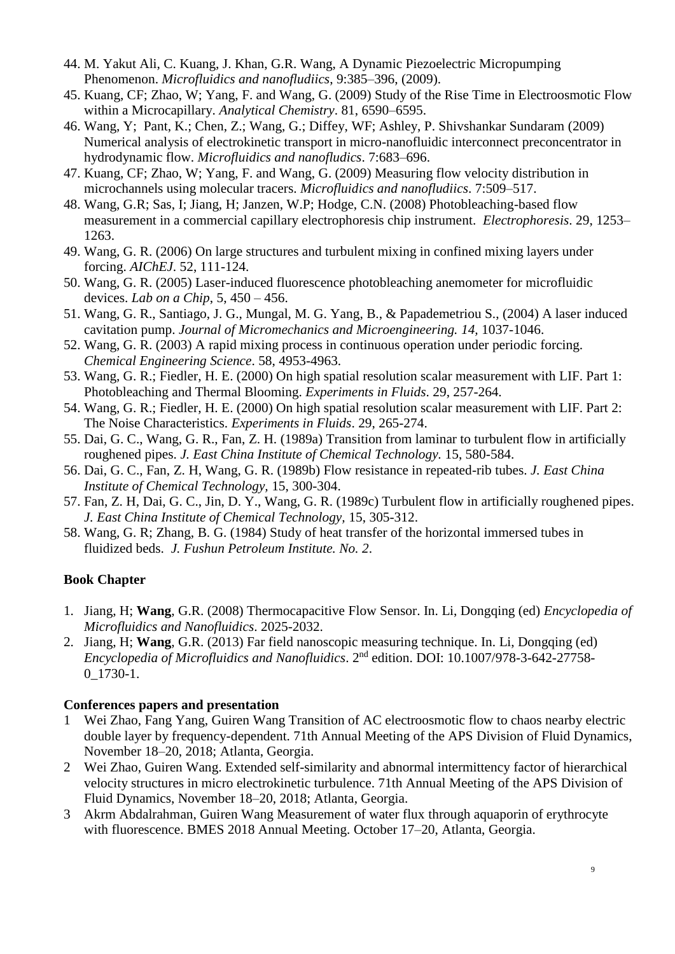- 44. M. Yakut Ali, C. Kuang, J. Khan, G.R. Wang, A Dynamic Piezoelectric Micropumping Phenomenon. *Microfluidics and nanofludiics*, 9:385–396, (2009).
- 45. Kuang, CF; Zhao, W; Yang, F. and Wang, G. (2009) Study of the Rise Time in Electroosmotic Flow within a Microcapillary. *Analytical Chemistry*. 81, 6590–6595.
- 46. Wang, Y; Pant, K.; Chen, Z.; Wang, G.; Diffey, WF; Ashley, P. Shivshankar Sundaram (2009) Numerical analysis of electrokinetic transport in micro-nanofluidic interconnect preconcentrator in hydrodynamic flow. *Microfluidics and nanofludics*. 7:683–696.
- 47. Kuang, CF; Zhao, W; Yang, F. and Wang, G. (2009) Measuring flow velocity distribution in microchannels using molecular tracers. *Microfluidics and nanofludiics*. 7:509–517.
- 48. Wang, G.R; Sas, I; Jiang, H; Janzen, W.P; Hodge, C.N. (2008) Photobleaching-based flow measurement in a commercial capillary electrophoresis chip instrument. *Electrophoresis*. 29, 1253– 1263.
- 49. Wang, G. R. (2006) On large structures and turbulent mixing in confined mixing layers under forcing. *AIChEJ*. 52, 111-124.
- 50. Wang, G. R. (2005) Laser-induced fluorescence photobleaching anemometer for microfluidic devices. *Lab on a Chip*, 5, 450 – 456.
- 51. Wang, G. R., Santiago, J. G., Mungal, M. G. Yang, B., & Papademetriou S., (2004) A laser induced cavitation pump. *Journal of Micromechanics and Microengineering. 14,* 1037-1046.
- 52. Wang, G. R. (2003) A rapid mixing process in continuous operation under periodic forcing. *Chemical Engineering Science*. 58, 4953-4963.
- 53. Wang, G. R.; Fiedler, H. E. (2000) On high spatial resolution scalar measurement with LIF. Part 1: Photobleaching and Thermal Blooming. *Experiments in Fluids*. 29, 257-264.
- 54. Wang, G. R.; Fiedler, H. E. (2000) On high spatial resolution scalar measurement with LIF. Part 2: The Noise Characteristics. *Experiments in Fluids*. 29, 265-274.
- 55. Dai, G. C., Wang, G. R., Fan, Z. H. (1989a) Transition from laminar to turbulent flow in artificially roughened pipes. *J. East China Institute of Chemical Technology.* 15, 580-584.
- 56. Dai, G. C., Fan, Z. H, Wang, G. R. (1989b) Flow resistance in repeated-rib tubes. *J. East China Institute of Chemical Technology,* 15, 300-304.
- 57. Fan, Z. H, Dai, G. C., Jin, D. Y., Wang, G. R. (1989c) Turbulent flow in artificially roughened pipes. *J. East China Institute of Chemical Technology,* 15, 305-312.
- 58. Wang, G. R; Zhang, B. G. (1984) Study of heat transfer of the horizontal immersed tubes in fluidized beds. *J. Fushun Petroleum Institute. No. 2*.

# **Book Chapter**

- 1. Jiang, H; **Wang**, G.R. (2008) Thermocapacitive Flow Sensor. In. Li, Dongqing (ed) *Encyclopedia of Microfluidics and Nanofluidics*. 2025-2032.
- 2. Jiang, H; **Wang**, G.R. (2013) Far field nanoscopic measuring technique. In. Li, Dongqing (ed) *Encyclopedia of Microfluidics and Nanofluidics*. 2nd edition. DOI: 10.1007/978-3-642-27758- 0\_1730-1.

## **Conferences papers and presentation**

- 1 Wei Zhao, Fang Yang, Guiren Wang Transition of AC electroosmotic flow to chaos nearby electric double layer by frequency-dependent. 71th Annual Meeting of the APS Division of Fluid Dynamics, November 18–20, 2018; Atlanta, Georgia.
- 2 Wei Zhao, Guiren Wang. Extended self-similarity and abnormal intermittency factor of hierarchical velocity structures in micro electrokinetic turbulence. 71th Annual Meeting of the APS Division of Fluid Dynamics, November 18–20, 2018; Atlanta, Georgia.
- 3 Akrm Abdalrahman, Guiren Wang Measurement of water flux through aquaporin of erythrocyte with fluorescence. BMES 2018 Annual Meeting. October 17–20, Atlanta, Georgia.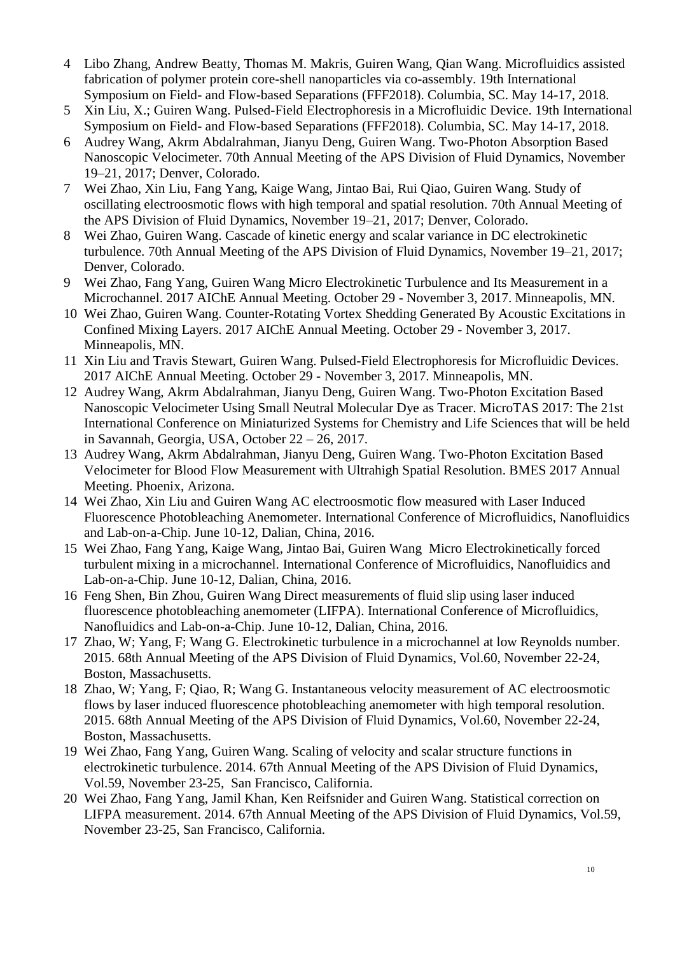- 4 Libo Zhang, Andrew Beatty, Thomas M. Makris, Guiren Wang, Qian Wang. Microfluidics assisted fabrication of polymer protein core-shell nanoparticles via co-assembly. 19th International Symposium on Field- and Flow-based Separations (FFF2018). Columbia, SC. May 14-17, 2018.
- 5 Xin Liu, X.; Guiren Wang. Pulsed-Field Electrophoresis in a Microfluidic Device. 19th International Symposium on Field- and Flow-based Separations (FFF2018). Columbia, SC. May 14-17, 2018.
- 6 Audrey Wang, Akrm Abdalrahman, Jianyu Deng, Guiren Wang. Two-Photon Absorption Based Nanoscopic Velocimeter. 70th Annual Meeting of the APS Division of Fluid Dynamics, November 19–21, 2017; Denver, Colorado.
- 7 Wei Zhao, Xin Liu, Fang Yang, Kaige Wang, Jintao Bai, Rui Qiao, Guiren Wang. Study of oscillating electroosmotic flows with high temporal and spatial resolution. 70th Annual Meeting of the APS Division of Fluid Dynamics, November 19–21, 2017; Denver, Colorado.
- 8 Wei Zhao, Guiren Wang. Cascade of kinetic energy and scalar variance in DC electrokinetic turbulence. 70th Annual Meeting of the APS Division of Fluid Dynamics, November 19–21, 2017; Denver, Colorado.
- 9 Wei Zhao, Fang Yang, Guiren Wang Micro Electrokinetic Turbulence and Its Measurement in a Microchannel. 2017 AIChE Annual Meeting. October 29 - November 3, 2017. Minneapolis, MN.
- 10 Wei Zhao, Guiren Wang. Counter-Rotating Vortex Shedding Generated By Acoustic Excitations in Confined Mixing Layers. 2017 AIChE Annual Meeting. October 29 - November 3, 2017. Minneapolis, MN.
- 11 Xin Liu and Travis Stewart, Guiren Wang. Pulsed-Field Electrophoresis for Microfluidic Devices. 2017 AIChE Annual Meeting. October 29 - November 3, 2017. Minneapolis, MN.
- 12 Audrey Wang, Akrm Abdalrahman, Jianyu Deng, Guiren Wang. Two-Photon Excitation Based Nanoscopic Velocimeter Using Small Neutral Molecular Dye as Tracer. MicroTAS 2017: The 21st International Conference on Miniaturized Systems for Chemistry and Life Sciences that will be held in Savannah, Georgia, USA, October 22 – 26, 2017.
- 13 Audrey Wang, Akrm Abdalrahman, Jianyu Deng, Guiren Wang. Two-Photon Excitation Based Velocimeter for Blood Flow Measurement with Ultrahigh Spatial Resolution. BMES 2017 Annual Meeting. Phoenix, Arizona.
- 14 Wei Zhao, Xin Liu and Guiren Wang AC electroosmotic flow measured with Laser Induced Fluorescence Photobleaching Anemometer. International Conference of Microfluidics, Nanofluidics and Lab-on-a-Chip. June 10-12, Dalian, China, 2016.
- 15 Wei Zhao, Fang Yang, Kaige Wang, Jintao Bai, Guiren Wang Micro Electrokinetically forced turbulent mixing in a microchannel. International Conference of Microfluidics, Nanofluidics and Lab-on-a-Chip. June 10-12, Dalian, China, 2016.
- 16 Feng Shen, Bin Zhou, Guiren Wang Direct measurements of fluid slip using laser induced fluorescence photobleaching anemometer (LIFPA). International Conference of Microfluidics, Nanofluidics and Lab-on-a-Chip. June 10-12, Dalian, China, 2016.
- 17 Zhao, W; Yang, F; Wang G. Electrokinetic turbulence in a microchannel at low Reynolds number. 2015. 68th Annual Meeting of the APS Division of Fluid Dynamics, Vol.60, November 22-24, Boston, Massachusetts.
- 18 Zhao, W; Yang, F; Qiao, R; Wang G. Instantaneous velocity measurement of AC electroosmotic flows by laser induced fluorescence photobleaching anemometer with high temporal resolution. 2015. 68th Annual Meeting of the APS Division of Fluid Dynamics, Vol.60, November 22-24, Boston, Massachusetts.
- 19 Wei Zhao, Fang Yang, Guiren Wang. Scaling of velocity and scalar structure functions in electrokinetic turbulence. 2014. 67th Annual Meeting of the APS Division of Fluid Dynamics, Vol.59, November 23-25, San Francisco, California.
- 20 Wei Zhao, Fang Yang, Jamil Khan, Ken Reifsnider and Guiren Wang. Statistical correction on LIFPA measurement. 2014. 67th Annual Meeting of the APS Division of Fluid Dynamics, Vol.59, November 23-25, San Francisco, California.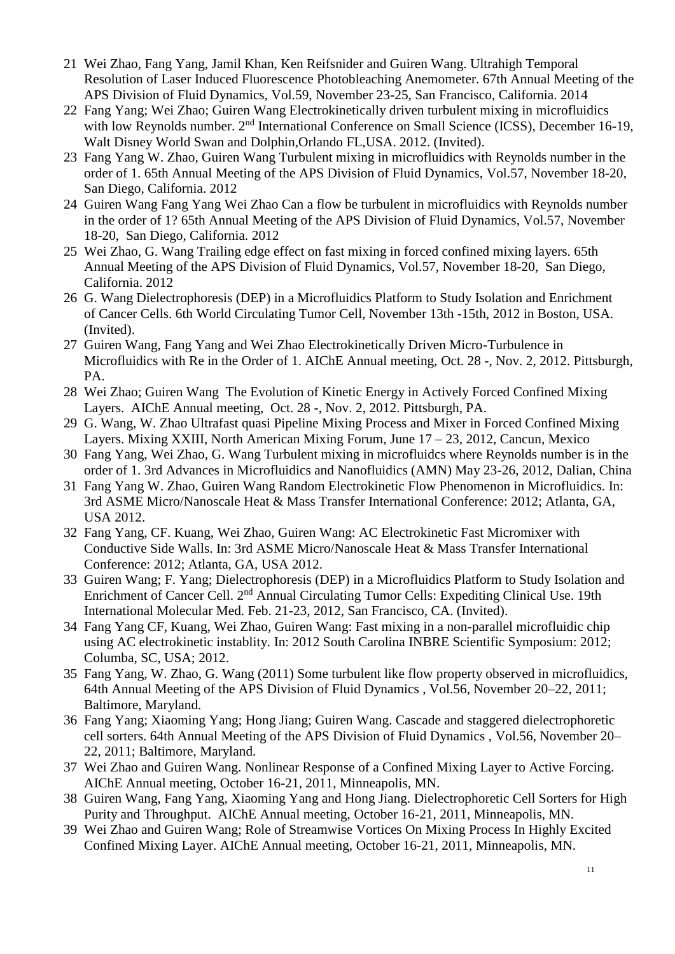- 21 Wei Zhao, Fang Yang, Jamil Khan, Ken Reifsnider and Guiren Wang. Ultrahigh Temporal Resolution of Laser Induced Fluorescence Photobleaching Anemometer. 67th Annual Meeting of the APS Division of Fluid Dynamics, Vol.59, November 23-25, San Francisco, California. 2014
- 22 Fang Yang; Wei Zhao; Guiren Wang Electrokinetically driven turbulent mixing in microfluidics with low Reynolds number. 2<sup>nd</sup> International Conference on Small Science (ICSS), December 16-19, Walt Disney World Swan and Dolphin,Orlando FL,USA. 2012. (Invited).
- 23 Fang Yang W. Zhao, Guiren Wang Turbulent mixing in microfluidics with Reynolds number in the order of 1. 65th Annual Meeting of the APS Division of Fluid Dynamics, Vol.57, November 18-20, San Diego, California. 2012
- 24 Guiren Wang Fang Yang Wei Zhao Can a flow be turbulent in microfluidics with Reynolds number in the order of 1? 65th Annual Meeting of the APS Division of Fluid Dynamics, Vol.57, November 18-20, San Diego, California. 2012
- 25 Wei Zhao, G. Wang Trailing edge effect on fast mixing in forced confined mixing layers. 65th Annual Meeting of the APS Division of Fluid Dynamics, Vol.57, November 18-20, San Diego, California. 2012
- 26 G. Wang Dielectrophoresis (DEP) in a Microfluidics Platform to Study Isolation and Enrichment of Cancer Cells. 6th World Circulating Tumor Cell, November 13th -15th, 2012 in Boston, USA. (Invited).
- 27 Guiren Wang, Fang Yang and Wei Zhao Electrokinetically Driven Micro-Turbulence in Microfluidics with Re in the Order of 1. AIChE Annual meeting, Oct. 28 -, Nov. 2, 2012. Pittsburgh, PA.
- 28 Wei Zhao; Guiren Wang The Evolution of Kinetic Energy in Actively Forced Confined Mixing Layers. AIChE Annual meeting, Oct. 28 -, Nov. 2, 2012. Pittsburgh, PA.
- 29 G. Wang, W. Zhao Ultrafast quasi Pipeline Mixing Process and Mixer in Forced Confined Mixing Layers. Mixing XXIII, North American Mixing Forum, June 17 – 23, 2012, Cancun, Mexico
- 30 Fang Yang, Wei Zhao, G. Wang Turbulent mixing in microfluidcs where Reynolds number is in the order of 1. 3rd Advances in Microfluidics and Nanofluidics (AMN) May 23-26, 2012, Dalian, China
- 31 Fang Yang W. Zhao, Guiren Wang Random Electrokinetic Flow Phenomenon in Microfluidics. In: 3rd ASME Micro/Nanoscale Heat & Mass Transfer International Conference: 2012; Atlanta, GA, USA 2012.
- 32 Fang Yang, CF. Kuang, Wei Zhao, Guiren Wang: AC Electrokinetic Fast Micromixer with Conductive Side Walls. In: 3rd ASME Micro/Nanoscale Heat & Mass Transfer International Conference: 2012; Atlanta, GA, USA 2012.
- 33 Guiren Wang; F. Yang; Dielectrophoresis (DEP) in a Microfluidics Platform to Study Isolation and Enrichment of Cancer Cell. 2<sup>nd</sup> Annual Circulating Tumor Cells: Expediting Clinical Use. 19th International Molecular Med. Feb. 21-23, 2012, San Francisco, CA. (Invited).
- 34 Fang Yang CF, Kuang, Wei Zhao, Guiren Wang: Fast mixing in a non-parallel microfluidic chip using AC electrokinetic instablity. In: 2012 South Carolina INBRE Scientific Symposium: 2012; Columba, SC, USA; 2012.
- 35 Fang Yang, W. Zhao, G. Wang (2011) Some turbulent like flow property observed in microfluidics, 64th Annual Meeting of the APS Division of Fluid Dynamics , Vol.56, November 20–22, 2011; Baltimore, Maryland.
- 36 Fang Yang; Xiaoming Yang; Hong Jiang; Guiren Wang. Cascade and staggered dielectrophoretic cell sorters. 64th Annual Meeting of the APS Division of Fluid Dynamics , Vol.56, November 20– 22, 2011; Baltimore, Maryland.
- 37 Wei Zhao and Guiren Wang. Nonlinear Response of a Confined Mixing Layer to Active Forcing. AIChE Annual meeting, October 16-21, 2011, Minneapolis, MN.
- 38 Guiren Wang, Fang Yang, Xiaoming Yang and Hong Jiang. Dielectrophoretic Cell Sorters for High Purity and Throughput. AIChE Annual meeting, October 16-21, 2011, Minneapolis, MN.
- 39 Wei Zhao and Guiren Wang; Role of Streamwise Vortices On Mixing Process In Highly Excited Confined Mixing Layer. AIChE Annual meeting, October 16-21, 2011, Minneapolis, MN.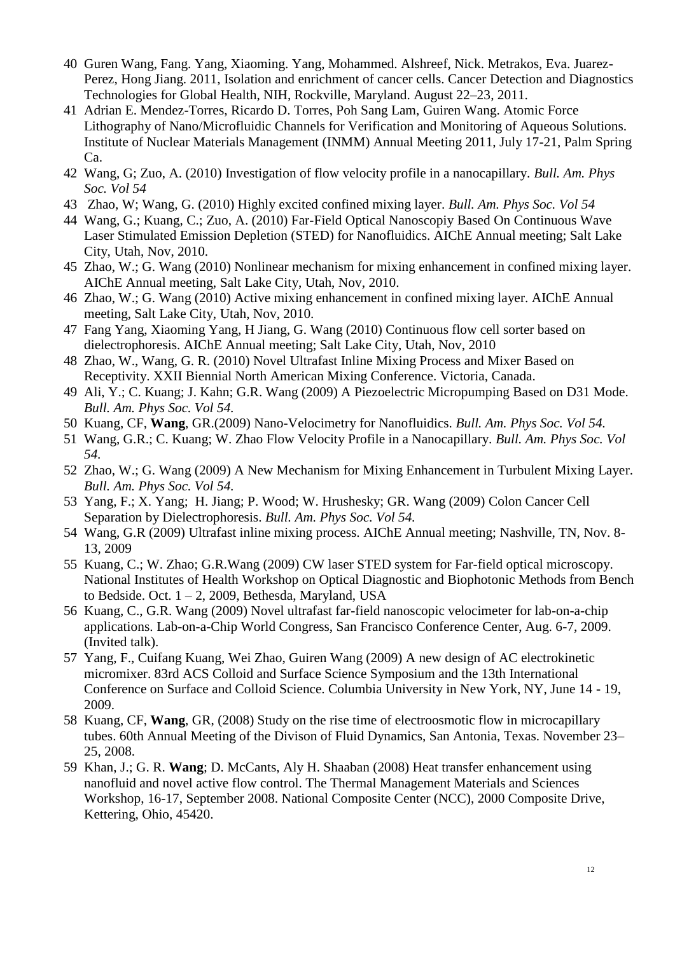- 40 Guren Wang, Fang. Yang, Xiaoming. Yang, Mohammed. Alshreef, Nick. Metrakos, Eva. Juarez-Perez, Hong Jiang. 2011, Isolation and enrichment of cancer cells. Cancer Detection and Diagnostics Technologies for Global Health, NIH, Rockville, Maryland. August 22–23, 2011.
- 41 Adrian E. Mendez-Torres, Ricardo D. Torres, Poh Sang Lam, Guiren Wang. Atomic Force Lithography of Nano/Microfluidic Channels for Verification and Monitoring of Aqueous Solutions. Institute of Nuclear Materials Management (INMM) Annual Meeting 2011, July 17-21, Palm Spring Ca.
- 42 Wang, G; Zuo, A. (2010) Investigation of flow velocity profile in a nanocapillary. *Bull. Am. Phys Soc. Vol 54*
- 43 Zhao, W; Wang, G. (2010) Highly excited confined mixing layer. *Bull. Am. Phys Soc. Vol 54*
- 44 Wang, G.; Kuang, C.; Zuo, A. (2010) Far-Field Optical Nanoscopiy Based On Continuous Wave Laser Stimulated Emission Depletion (STED) for Nanofluidics. AIChE Annual meeting; Salt Lake City, Utah, Nov, 2010.
- 45 Zhao, W.; G. Wang (2010) Nonlinear mechanism for mixing enhancement in confined mixing layer. AIChE Annual meeting, Salt Lake City, Utah, Nov, 2010.
- 46 Zhao, W.; G. Wang (2010) Active mixing enhancement in confined mixing layer. AIChE Annual meeting, Salt Lake City, Utah, Nov, 2010.
- 47 Fang Yang, Xiaoming Yang, H Jiang, G. Wang (2010) Continuous flow cell sorter based on dielectrophoresis. AIChE Annual meeting; Salt Lake City, Utah, Nov, 2010
- 48 Zhao, W., Wang, G. R. (2010) Novel Ultrafast Inline Mixing Process and Mixer Based on Receptivity. XXII Biennial North American Mixing Conference. Victoria, Canada.
- 49 Ali, Y.; C. Kuang; J. Kahn; G.R. Wang (2009) A Piezoelectric Micropumping Based on D31 Mode. *Bull. Am. Phys Soc. Vol 54.*
- 50 Kuang, CF, **Wang**, GR.(2009) Nano-Velocimetry for Nanofluidics. *Bull. Am. Phys Soc. Vol 54.*
- 51 Wang, G.R.; C. Kuang; W. Zhao Flow Velocity Profile in a Nanocapillary. *Bull. Am. Phys Soc. Vol 54.*
- 52 Zhao, W.; G. Wang (2009) A New Mechanism for Mixing Enhancement in Turbulent Mixing Layer. *Bull. Am. Phys Soc. Vol 54.*
- 53 Yang, F.; X. Yang; H. Jiang; P. Wood; W. Hrushesky; GR. Wang (2009) Colon Cancer Cell Separation by Dielectrophoresis. *Bull. Am. Phys Soc. Vol 54.*
- 54 Wang, G.R (2009) Ultrafast inline mixing process. AIChE Annual meeting; Nashville, TN, Nov. 8- 13, 2009
- 55 Kuang, C.; W. Zhao; G.R.Wang (2009) CW laser STED system for Far-field optical microscopy. National Institutes of Health Workshop on Optical Diagnostic and Biophotonic Methods from Bench to Bedside. Oct.  $1 - 2$ , 2009, Bethesda, Maryland, USA
- 56 Kuang, C., G.R. Wang (2009) Novel ultrafast far-field nanoscopic velocimeter for lab-on-a-chip applications. Lab-on-a-Chip World Congress, San Francisco Conference Center, Aug. 6-7, 2009. (Invited talk).
- 57 Yang, F., Cuifang Kuang, Wei Zhao, Guiren Wang (2009) A new design of AC electrokinetic micromixer. 83rd ACS Colloid and Surface Science Symposium and the 13th International Conference on Surface and Colloid Science. Columbia University in New York, NY, June 14 - 19, 2009.
- 58 Kuang, CF, **Wang**, GR, (2008) Study on the rise time of electroosmotic flow in microcapillary tubes. 60th Annual Meeting of the Divison of Fluid Dynamics, San Antonia, Texas. November 23– 25, 2008.
- 59 Khan, J.; G. R. **Wang**; D. McCants, Aly H. Shaaban (2008) Heat transfer enhancement using nanofluid and novel active flow control. The Thermal Management Materials and Sciences Workshop, 16-17, September 2008. National Composite Center (NCC), 2000 Composite Drive, Kettering, Ohio, 45420.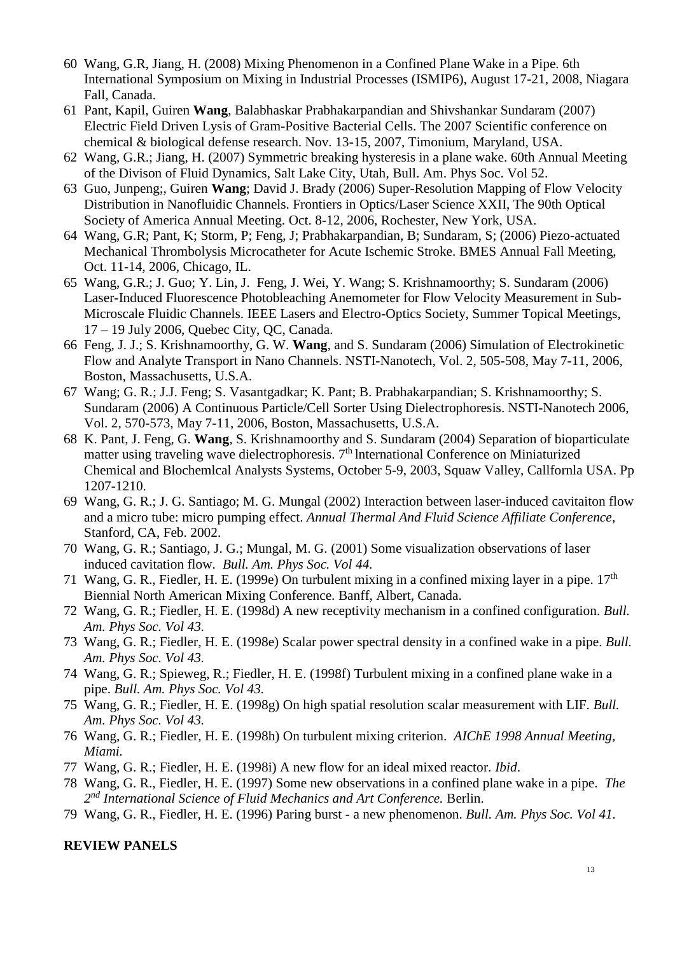- 60 Wang, G.R, Jiang, H. (2008) Mixing Phenomenon in a Confined Plane Wake in a Pipe. 6th International Symposium on Mixing in Industrial Processes (ISMIP6), August 17-21, 2008, Niagara Fall, Canada.
- 61 Pant, Kapil, Guiren **Wang**, Balabhaskar Prabhakarpandian and Shivshankar Sundaram (2007) Electric Field Driven Lysis of Gram-Positive Bacterial Cells. The 2007 Scientific conference on chemical & biological defense research. Nov. 13-15, 2007, Timonium, Maryland, USA.
- 62 Wang, G.R.; Jiang, H. (2007) Symmetric breaking hysteresis in a plane wake. 60th Annual Meeting of the Divison of Fluid Dynamics, Salt Lake City, Utah, Bull. Am. Phys Soc. Vol 52.
- 63 Guo, Junpeng;, Guiren **Wang**; David J. Brady (2006) Super-Resolution Mapping of Flow Velocity Distribution in Nanofluidic Channels. Frontiers in Optics/Laser Science XXII, The 90th Optical Society of America Annual Meeting. Oct. 8-12, 2006, Rochester, New York, USA.
- 64 Wang, G.R; Pant, K; Storm, P; Feng, J; Prabhakarpandian, B; Sundaram, S; (2006) Piezo-actuated Mechanical Thrombolysis Microcatheter for Acute Ischemic Stroke. BMES Annual Fall Meeting, Oct. 11-14, 2006, Chicago, IL.
- 65 Wang, G.R.; J. Guo; Y. Lin, J. Feng, J. Wei, Y. Wang; S. Krishnamoorthy; S. Sundaram (2006) Laser-Induced Fluorescence Photobleaching Anemometer for Flow Velocity Measurement in Sub-Microscale Fluidic Channels. IEEE Lasers and Electro-Optics Society, Summer Topical Meetings, 17 – 19 July 2006, Quebec City, QC, Canada.
- 66 Feng, J. J.; S. Krishnamoorthy, G. W. **Wang**, and S. Sundaram (2006) Simulation of Electrokinetic Flow and Analyte Transport in Nano Channels. NSTI-Nanotech, Vol. 2, 505-508, May 7-11, 2006, Boston, Massachusetts, U.S.A.
- 67 Wang; G. R.; J.J. Feng; S. Vasantgadkar; K. Pant; B. Prabhakarpandian; S. Krishnamoorthy; S. Sundaram (2006) A Continuous Particle/Cell Sorter Using Dielectrophoresis. NSTI-Nanotech 2006, Vol. 2, 570-573, May 7-11, 2006, Boston, Massachusetts, U.S.A.
- 68 K. Pant, J. Feng, G. **Wang**, S. Krishnamoorthy and S. Sundaram (2004) Separation of bioparticulate matter using traveling wave dielectrophoresis. 7<sup>th</sup> International Conference on Miniaturized Chemical and Blochemlcal Analysts Systems, October 5-9, 2003, Squaw Valley, Callfornla USA. Pp 1207-1210.
- 69 Wang, G. R.; J. G. Santiago; M. G. Mungal (2002) Interaction between laser-induced cavitaiton flow and a micro tube: micro pumping effect. *Annual Thermal And Fluid Science Affiliate Conference*, Stanford, CA, Feb. 2002.
- 70 Wang, G. R.; Santiago, J. G.; Mungal, M. G. (2001) Some visualization observations of laser induced cavitation flow. *Bull. Am. Phys Soc. Vol 44.*
- 71 Wang, G. R., Fiedler, H. E. (1999e) On turbulent mixing in a confined mixing layer in a pipe.  $17<sup>th</sup>$ Biennial North American Mixing Conference. Banff, Albert, Canada.
- 72 Wang, G. R.; Fiedler, H. E. (1998d) A new receptivity mechanism in a confined configuration. *Bull. Am. Phys Soc. Vol 43.*
- 73 Wang, G. R.; Fiedler, H. E. (1998e) Scalar power spectral density in a confined wake in a pipe. *Bull. Am. Phys Soc. Vol 43.*
- 74 Wang, G. R.; Spieweg, R.; Fiedler, H. E. (1998f) Turbulent mixing in a confined plane wake in a pipe. *Bull. Am. Phys Soc. Vol 43.*
- 75 Wang, G. R.; Fiedler, H. E. (1998g) On high spatial resolution scalar measurement with LIF. *Bull. Am. Phys Soc. Vol 43.*
- 76 Wang, G. R.; Fiedler, H. E. (1998h) On turbulent mixing criterion. *AIChE 1998 Annual Meeting, Miami.*
- 77 Wang, G. R.; Fiedler, H. E. (1998i) A new flow for an ideal mixed reactor. *Ibid*.
- 78 Wang, G. R., Fiedler, H. E. (1997) Some new observations in a confined plane wake in a pipe. *The 2 nd International Science of Fluid Mechanics and Art Conference.* Berlin.
- 79 Wang, G. R., Fiedler, H. E. (1996) Paring burst a new phenomenon. *Bull. Am. Phys Soc. Vol 41.*

#### **REVIEW PANELS**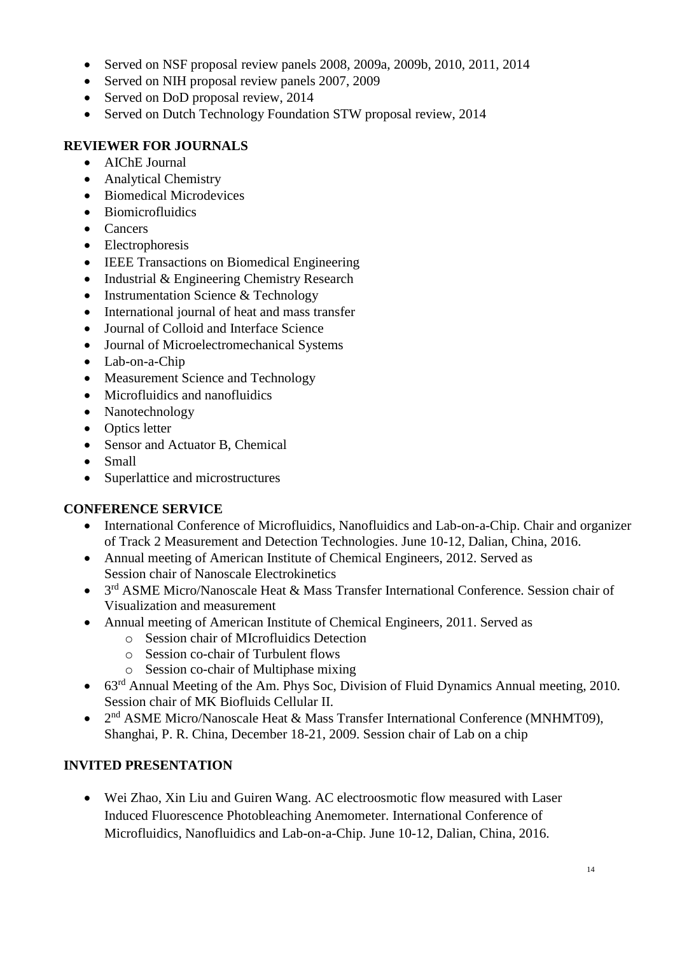- Served on NSF proposal review panels 2008, 2009a, 2009b, 2010, 2011, 2014
- Served on NIH proposal review panels 2007, 2009
- Served on DoD proposal review, 2014
- Served on Dutch Technology Foundation STW proposal review, 2014

## **REVIEWER FOR JOURNALS**

- AIChE Journal
- Analytical Chemistry
- Biomedical Microdevices
- Biomicrofluidics
- Cancers
- Electrophoresis
- IEEE Transactions on Biomedical Engineering
- Industrial & Engineering Chemistry Research
- Instrumentation Science & Technology
- International journal of heat and mass transfer
- Journal of Colloid and Interface Science
- Journal of Microelectromechanical Systems
- Lab-on-a-Chip
- Measurement Science and Technology
- Microfluidics and nanofluidics
- Nanotechnology
- Optics letter
- Sensor and Actuator B, Chemical
- Small
- Superlattice and microstructures

# **CONFERENCE SERVICE**

- International Conference of Microfluidics, Nanofluidics and Lab-on-a-Chip. Chair and organizer of Track 2 Measurement and Detection Technologies. June 10-12, Dalian, China, 2016.
- Annual meeting of American Institute of Chemical Engineers, 2012. Served as Session chair of Nanoscale Electrokinetics
- 3<sup>rd</sup> ASME Micro/Nanoscale Heat & Mass Transfer International Conference. Session chair of Visualization and measurement
- Annual meeting of American Institute of Chemical Engineers, 2011. Served as
	- o Session chair of MIcrofluidics Detection
	- o Session co-chair of Turbulent flows
	- o Session co-chair of Multiphase mixing
- 63<sup>rd</sup> Annual Meeting of the Am. Phys Soc, Division of Fluid Dynamics Annual meeting, 2010. Session chair of MK Biofluids Cellular II.
- 2<sup>nd</sup> ASME Micro/Nanoscale Heat & Mass Transfer International Conference (MNHMT09), Shanghai, P. R. China, December 18-21, 2009. Session chair of Lab on a chip

# **INVITED PRESENTATION**

• Wei Zhao, Xin Liu and Guiren Wang. AC electroosmotic flow measured with Laser Induced Fluorescence Photobleaching Anemometer. International Conference of Microfluidics, Nanofluidics and Lab-on-a-Chip. June 10-12, Dalian, China, 2016.